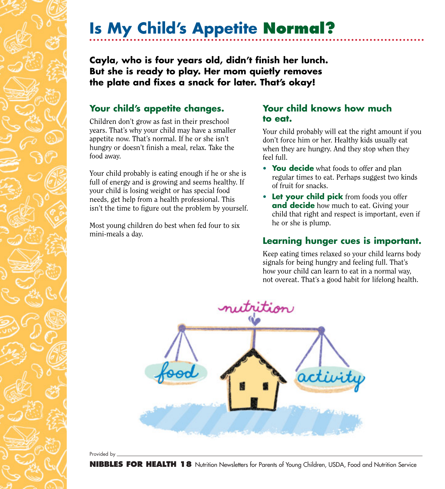# **Is My Child's Appetite Normal?**

**Cayla, who is four years old, didn't finish her lunch. But she is ready to play. Her mom quietly removes the plate and fixes a snack for later. That's okay!**

### **Your child's appetite changes.**

Children don't grow as fast in their preschool years. That's why your child may have a smaller appetite now. That's normal. If he or she isn't hungry or doesn't finish a meal, relax. Take the food away.

Your child probably is eating enough if he or she is full of energy and is growing and seems healthy. If your child is losing weight or has special food needs, get help from a health professional. This isn't the time to figure out the problem by yourself.

Most young children do best when fed four to six mini-meals a day.

#### **Your child knows how much to eat.**

Your child probably will eat the right amount if you don't force him or her. Healthy kids usually eat when they are hungry. And they stop when they feel full.

- **You decide** what foods to offer and plan regular times to eat. Perhaps suggest two kinds of fruit for snacks.
- **Let your child pick** from foods you offer **and decide** how much to eat. Giving your child that right and respect is important, even if he or she is plump.

## **Learning hunger cues is important.**

Keep eating times relaxed so your child learns body signals for being hungry and feeling full. That's how your child can learn to eat in a normal way, not overeat. That's a good habit for lifelong health.



Provided by .